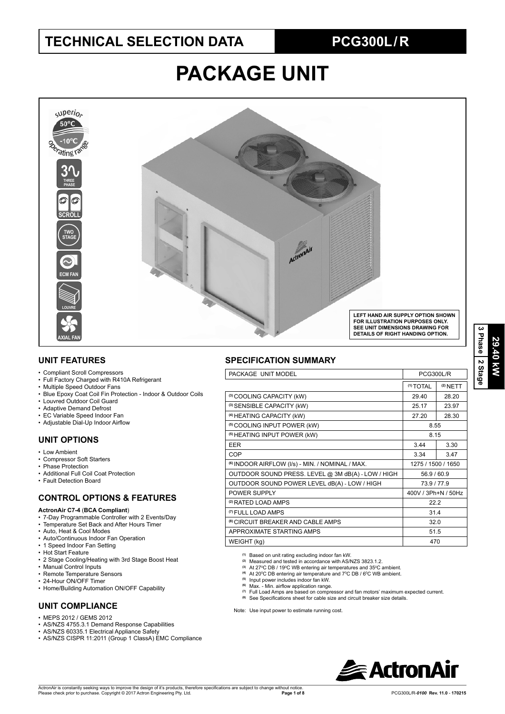## **TECHNICAL SELECTION DATA PCG300L / R**

# **PACKAGE UNIT**



#### **UNIT FEATURES**

- Compliant Scroll Compressors
- Full Factory Charged with R410A Refrigerant
- Multiple Speed Outdoor Fans
- Blue Epoxy Coat Coil Fin Protection Indoor & Outdoor Coils
- Louvred Outdoor Coil Guard
- Adaptive Demand Defrost
- EC Variable Speed Indoor Fan
- Adjustable Dial-Up Indoor Airflow

## **UNIT OPTIONS**

- Low Ambient
- Compressor Soft Starters
- Phase Protection
- Additional Full Coil Coat Protection
- Fault Detection Board

## **CONTROL OPTIONS & FEATURES**

#### **ActronAir C7-4** (**BCA Compliant**)

- 7-Day Programmable Controller with 2 Events/Day
- Temperature Set Back and After Hours Timer
- Auto, Heat & Cool Modes
- Auto/Continuous Indoor Fan Operation
- 1 Speed Indoor Fan Setting
- Hot Start Feature
- 2 Stage Cooling/Heating with 3rd Stage Boost Heat
- Manual Control Inputs
- Remote Temperature Sensors
- 24-Hour ON/OFF Timer
- Home/Building Automation ON/OFF Capability

### **UNIT COMPLIANCE**

- MEPS 2012 / GEMS 2012
- AS/NZS 4755.3.1 Demand Response Capabilities
- AS/NZS 60335.1 Electrical Appliance Safety
- AS/NZS CISPR 11:2011 (Group 1 ClassA) EMC Compliance

#### **SPECIFICATION SUMMARY**

| PACKAGE UNIT MODEL                                          | <b>PCG300L/R</b>     |            |  |  |
|-------------------------------------------------------------|----------------------|------------|--|--|
|                                                             | <sup>(1)</sup> TOTAL | $(2)$ NETT |  |  |
| (3) COOLING CAPACITY (kW)                                   | 29.40                | 28.20      |  |  |
| (3) SENSIBLE CAPACITY (kW)                                  | 25.17                | 23.97      |  |  |
| (4) HEATING CAPACITY (kW)                                   | 27.20                | 28.30      |  |  |
| <sup>(5)</sup> COOLING INPUT POWER (kW)                     | 8.55                 |            |  |  |
| <sup>(5)</sup> HEATING INPUT POWER (kW)                     | 8.15                 |            |  |  |
| <b>EER</b>                                                  | 3.44                 | 3.30       |  |  |
| <b>COP</b>                                                  | 3.34                 | 3.47       |  |  |
| <sup>(6)</sup> INDOOR AIRFLOW (I/s) - MIN. / NOMINAL / MAX. | 1275 / 1500 / 1650   |            |  |  |
| OUTDOOR SOUND PRESS. LEVEL @ 3M dB(A) - LOW / HIGH          | 56.9 / 60.9          |            |  |  |
| OUTDOOR SOUND POWER LEVEL dB(A) - LOW / HIGH                | 73.9/77.9            |            |  |  |
| POWER SUPPLY                                                | 400V / 3Ph+N / 50Hz  |            |  |  |
| <sup>(2)</sup> RATED LOAD AMPS                              | 22.2                 |            |  |  |
| <sup>(7)</sup> FULL LOAD AMPS                               | 31.4                 |            |  |  |
| <sup>(8)</sup> CIRCUIT BREAKER AND CABLE AMPS               | 32.0                 |            |  |  |
| APPROXIMATE STARTING AMPS                                   | 51.5                 |            |  |  |
| WEIGHT (kg)                                                 | 470                  |            |  |  |

**(1)** Based on unit rating excluding indoor fan kW. **(2)** Measured and tested in accordance with AS/NZS 3823.1.2.

- 
- <sup>(3)</sup> At 27ºC DB / 19ºC WB entering air temperatures and 35ºC ambient.<br><sup>(4)</sup> At 20ºC DB entering air temperature and 7ºC DB / 6ºC WB ambient.<br><sup>(5)</sup> Input power includes indoor fan kW.
- 
- <sup>(6)</sup> Max. Min. airflow application range.
- **(7)** Full Load Amps are based on compressor and fan motors' maximum expected current.
- (8) See Specifications sheet for cable size and circuit breaker size details.

Note: Use input power to estimate running cost.

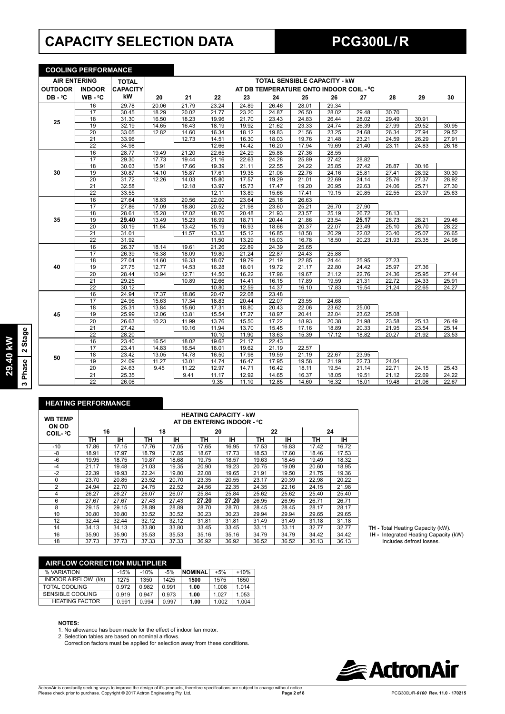# **CAPACITY SELECTION DATA PCG300L / R**

**COOLING PERFORMANCE**

| <u>UUULINU FERFURMANUE</u> |                 |                 |       |       |       |       |       |                                         |       |       |       |       |       |
|----------------------------|-----------------|-----------------|-------|-------|-------|-------|-------|-----------------------------------------|-------|-------|-------|-------|-------|
| <b>AIR ENTERING</b>        |                 | <b>TOTAL</b>    |       |       |       |       |       | <b>TOTAL SENSIBLE CAPACITY - KW</b>     |       |       |       |       |       |
| <b>OUTDOOR</b>             | <b>INDOOR</b>   | <b>CAPACITY</b> |       |       |       |       |       | AT DB TEMPERATURE ONTO INDOOR COIL - °C |       |       |       |       |       |
| DB-°C                      | $WB - C$        | kW              | 20    | 21    | 22    | 23    | 24    | 25                                      | 26    | 27    | 28    | 29    | 30    |
|                            | 16              | 29.78           | 20.06 | 21.79 | 23.24 | 24.89 | 26.46 | 28.01                                   | 29.34 |       |       |       |       |
|                            | 17              | 30.45           | 18.29 | 20.02 | 21.77 | 23.20 | 24.87 | 26.50                                   | 28.02 | 29.48 | 30.70 |       |       |
| 25                         | 18              | 31.30           | 16.50 | 18.23 | 19.96 | 21.70 | 23.43 | 24.83                                   | 26.44 | 28.02 | 29.49 | 30.91 |       |
|                            | 19              | 32.19           | 14.65 | 16.43 | 18.19 | 19.92 | 21.62 | 23.33                                   | 24.74 | 26.39 | 27.99 | 29.52 | 30.95 |
|                            | $\overline{20}$ | 33.05           | 12.82 | 14.60 | 16.34 | 18.12 | 19.83 | 21.56                                   | 23.25 | 24.68 | 26.34 | 27.94 | 29.52 |
|                            | $\overline{21}$ | 33.96           |       | 12.73 | 14.51 | 16.30 | 18.03 | 19.76                                   | 21.48 | 23.21 | 24.59 | 26.29 | 27.91 |
|                            | $\overline{22}$ | 34.98           |       |       | 12.66 | 14.42 | 16.20 | 17.94                                   | 19.69 | 21.40 | 23.11 | 24.83 | 26.18 |
|                            | 16              | 28.77           | 19.49 | 21.20 | 22.65 | 24.29 | 25.88 | 27.36                                   | 28.55 |       |       |       |       |
|                            | 17              | 29.30           | 17.73 | 19.44 | 21.16 | 22.63 | 24.28 | 25.89                                   | 27.42 | 28.82 |       |       |       |
|                            | $\overline{18}$ | 30.03           | 15.91 | 17.66 | 19.39 | 21.11 | 22.55 | 24.22                                   | 25.85 | 27.42 | 28.87 | 30.16 |       |
| 30                         | 19              | 30.87           | 14.10 | 15.87 | 17.61 | 19.35 | 21.06 | 22.76                                   | 24.16 | 25.81 | 27.41 | 28.92 | 30.30 |
|                            | 20              | 31.72           | 12.26 | 14.03 | 15.80 | 17.57 | 19.29 | 21.01                                   | 22.69 | 24.14 | 25.76 | 27.37 | 28.92 |
|                            | 21              | 32.58           |       | 12.18 | 13.97 | 15.73 | 17.47 | 19.20                                   | 20.95 | 22.63 | 24.06 | 25.71 | 27.30 |
|                            | $\overline{22}$ | 33.55           |       |       | 12.11 | 13.89 | 15.66 | 17.41                                   | 19.15 | 20.85 | 22.55 | 23.97 | 25.63 |
|                            | 16              | 27.64           | 18.83 | 20.56 | 22.00 | 23.64 | 25.16 | 26.63                                   |       |       |       |       |       |
|                            | 17              | 27.86           | 17.09 | 18.80 | 20.52 | 21.98 | 23.60 | 25.21                                   | 26.70 | 27.90 |       |       |       |
|                            | $\overline{18}$ | 28.61           | 15.28 | 17.02 | 18.76 | 20.48 | 21.93 | 23.57                                   | 25.19 | 26.72 | 28.13 |       |       |
| 35                         | 19              | 29.40           | 13.49 | 15.23 | 16.99 | 18.71 | 20.44 | 21.86                                   | 23.54 | 25.17 | 26.73 | 28.21 | 29.46 |
|                            | 20              | 30.19           | 11.64 | 13.42 | 15.19 | 16.93 | 18.66 | 20.37                                   | 22.07 | 23.49 | 25.10 | 26.70 | 28.22 |
|                            | 21              | 31.01           |       | 11.57 | 13.35 | 15.12 | 16.85 | 18.58                                   | 20.29 | 22.02 | 23.40 | 25.07 | 26.65 |
|                            | $\overline{22}$ | 31.92           |       |       | 11.50 | 13.29 | 15.03 | 16.78                                   | 18.50 | 20.23 | 21.93 | 23.35 | 24.98 |
|                            | 16              | 26.37           | 18.14 | 19.61 | 21.26 | 22.89 | 24.39 | 25.65                                   |       |       |       |       |       |
|                            | 17              | 26.39           | 16.38 | 18.09 | 19.80 | 21.24 | 22.87 | 24.43                                   | 25.88 |       |       |       |       |
|                            | $\overline{18}$ | 27.04           | 14.60 | 16.33 | 18.07 | 19.79 | 21.19 | 22.85                                   | 24.44 | 25.95 | 27.23 |       |       |
| 40                         | 19              | 27.75           | 12.77 | 14.53 | 16.28 | 18.01 | 19.72 | 21.17                                   | 22.80 | 24.42 | 25.97 | 27.36 |       |
|                            | $\overline{20}$ | 28.44           | 10.94 | 12.71 | 14.50 | 16.22 | 17.96 | 19.67                                   | 21.12 | 22.76 | 24.36 | 25.95 | 27.44 |
|                            | 21              | 29.25           |       | 10.89 | 12.66 | 14.41 | 16.15 | 17.89                                   | 19.59 | 21.31 | 22.72 | 24.33 | 25.91 |
|                            | 22              | 30.12           |       |       | 10.80 | 12.59 | 14.37 | 16.10                                   | 17.83 | 19.54 | 21.24 | 22.65 | 24.27 |
|                            | 16              | 24.94           | 17.37 | 18.86 | 20.47 | 22.08 | 23.48 |                                         |       |       |       |       |       |
|                            | $\overline{17}$ | 24.96           | 15.63 | 17.34 | 18.83 | 20.44 | 22.07 | 23.55                                   | 24.68 |       |       |       |       |
|                            | 18              | 25.31           | 13.84 | 15.60 | 17.31 | 18.80 | 20.43 | 22.06                                   | 23.62 | 25.00 |       |       |       |
| 45                         | 19              | 25.99           | 12.06 | 13.81 | 15.54 | 17.27 | 18.97 | 20.41                                   | 22.04 | 23.62 | 25.08 |       |       |
|                            | 20              | 26.63           | 10.23 | 11.99 | 13.76 | 15.50 | 17.22 | 18.93                                   | 20.38 | 21.98 | 23.58 | 25.13 | 26.49 |
|                            | $\overline{21}$ | 27.42           |       | 10.16 | 11.94 | 13.70 | 15.45 | 17.16                                   | 18.89 | 20.33 | 21.95 | 23.54 | 25.14 |
|                            | $\overline{22}$ | 28.20           |       |       | 10.10 | 11.90 | 13.63 | 15.39                                   | 17.12 | 18.82 | 20.27 | 21.92 | 23.53 |
|                            | 16              | 23.40           | 16.54 | 18.02 | 19.62 | 21.17 | 22.43 |                                         |       |       |       |       |       |
|                            | 17              | 23.41           | 14.83 | 16.54 | 18.01 | 19.62 | 21.19 | 22.57                                   |       |       |       |       |       |
| 50                         | 18              | 23.42           | 13.05 | 14.78 | 16.50 | 17.98 | 19.59 | 21.19                                   | 22.67 | 23.95 |       |       |       |
|                            | 19              | 24.09           | 11.27 | 13.01 | 14.74 | 16.47 | 17.95 | 19.58                                   | 21.19 | 22.73 | 24.04 |       |       |
|                            | $\overline{20}$ | 24.63           | 9.45  | 11.22 | 12.97 | 14.71 | 16.42 | 18.11                                   | 19.54 | 21.14 | 22.71 | 24.15 | 25.43 |
|                            | $\overline{21}$ | 25.35           |       | 9.41  | 11.17 | 12.92 | 14.65 | 16.37                                   | 18.05 | 19.51 | 21.12 | 22.69 | 24.22 |
|                            | $\overline{22}$ | 26.06           |       |       | 9.35  | 11.10 | 12.85 | 14.60                                   | 16.32 | 18.01 | 19.48 | 21.06 | 22.67 |

#### **HEATING PERFORMANCE**

**29.40 kW 3 Phase 2 Stage**

29.40 kW<br>3 Phase 2 Stage

| <b>WB TEMP</b><br>ON OD | <b>HEATING CAPACITY - kW</b><br>AT DB ENTERING INDOOR - °C |       |       |       |       |       |       |       |       |       |  |  |  |
|-------------------------|------------------------------------------------------------|-------|-------|-------|-------|-------|-------|-------|-------|-------|--|--|--|
| COIL- ºC                |                                                            | 16    |       | 18    | 20    |       |       | 22    | 24    |       |  |  |  |
|                         | ΤН                                                         | IH.   | ΤН    | IH.   | ΤН    | IΗ    | ΤН    | ١Н    | TН    | IΗ    |  |  |  |
| $-10$                   | 17.86                                                      | 17.15 | 17.76 | 17.05 | 17.65 | 16.95 | 17.53 | 16.83 | 17.42 | 16.72 |  |  |  |
| -8                      | 18.91                                                      | 17.97 | 18.79 | 17.85 | 18.67 | 17.73 | 18.53 | 17.60 | 18.46 | 17.53 |  |  |  |
| -6                      | 19.95                                                      | 18.75 | 19.87 | 18.68 | 19.75 | 18.57 | 19.63 | 18.45 | 19.49 | 18.32 |  |  |  |
| $-4$                    | 21.17                                                      | 19.48 | 21.03 | 19.35 | 20.90 | 19.23 | 20.75 | 19.09 | 20.60 | 18.95 |  |  |  |
| $-2$                    | 22.39                                                      | 19.93 | 22.24 | 19.80 | 22.08 | 19.65 | 21.91 | 19.50 | 21.75 | 19.36 |  |  |  |
| 0                       | 23.70                                                      | 20.85 | 23.52 | 20.70 | 23.35 | 20.55 | 23.17 | 20.39 | 22.98 | 20.22 |  |  |  |
| 2                       | 24.94                                                      | 22.70 | 24.75 | 22.52 | 24.56 | 22.35 | 24.35 | 22.16 | 24.15 | 21.98 |  |  |  |
| 4                       | 26.27                                                      | 26.27 | 26.07 | 26.07 | 25.84 | 25.84 | 25.62 | 25.62 | 25.40 | 25.40 |  |  |  |
| 6                       | 27.67                                                      | 27.67 | 27.43 | 27.43 | 27.20 | 27.20 | 26.95 | 26.95 | 26.71 | 26.71 |  |  |  |
| 8                       | 29.15                                                      | 29.15 | 28.89 | 28.89 | 28.70 | 28.70 | 28.45 | 28.45 | 28.17 | 28.17 |  |  |  |
| 10                      | 30.80                                                      | 30.80 | 30.52 | 30.52 | 30.23 | 30.23 | 29.94 | 29.94 | 29.65 | 29.65 |  |  |  |
| 12                      | 32.44                                                      | 32.44 | 32.12 | 32.12 | 31.81 | 31.81 | 31.49 | 31.49 | 31.18 | 31.18 |  |  |  |
| 14                      | 34.13                                                      | 34.13 | 33.80 | 33.80 | 33.45 | 33.45 | 33.11 | 33.11 | 32.77 | 32.77 |  |  |  |
| 16                      | 35.90                                                      | 35.90 | 35.53 | 35.53 | 35.16 | 35.16 | 34.79 | 34.79 | 34.42 | 34.42 |  |  |  |
| 18                      | 37.73                                                      | 37.73 | 37.33 | 37.33 | 36.92 | 36.92 | 36.52 | 36.52 | 36.13 | 36.13 |  |  |  |

**TH -** Total Heating Capacity (kW).

 **IH -** Integrated Heating Capacity (kW) Includes defrost losses.

#### **AIRFLOW CORRECTION MULTIPLIER**

| % VARIATION                    | $-15%$ | $-10%$ | $-5%$ | <b>NOMINAL</b> | $+5%$ | $+10%$ |
|--------------------------------|--------|--------|-------|----------------|-------|--------|
| <b>INDOOR AIRFLOW</b><br>(1/s) | 1275   | 1350   | 1425  | 1500           | 1575  | 1650   |
| <b>TOTAL COOLING</b>           | 0.972  | 0.982  | 0.991 | 1.00           | 1.008 | 1.014  |
| SENSIBLE COOLING               | 0.919  | 0.947  | 0.973 | 1.00           | 1.027 | 1.053  |
| <b>HEATING FACTOR</b>          | 0.991  | 0.994  | 0.997 | 1.00           | 1.002 | 1.004  |
|                                |        |        |       |                |       |        |

#### **NOTES:**

1. No allowance has been made for the effect of indoor fan motor.<br>2. Selection tables are based on nominal airflows.

Correction factors must be applied for selection away from these conditions.

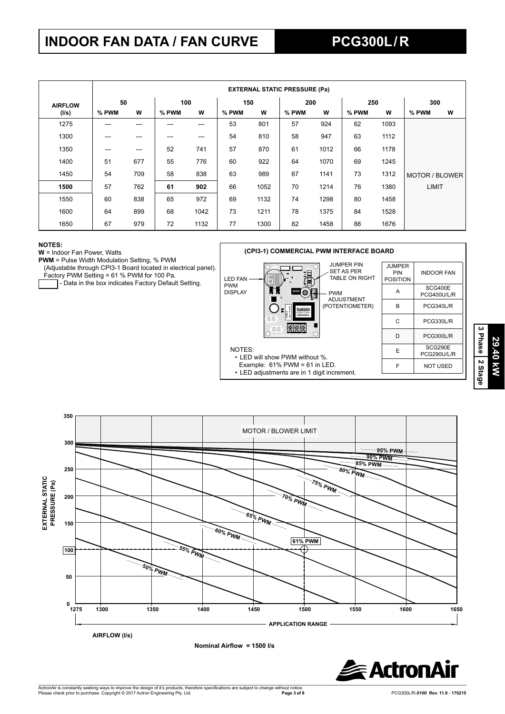# **INDOOR FAN DATA / FAN CURVE PCG300L / R**

|                |                        | <b>EXTERNAL STATIC PRESSURE (Pa)</b> |       |      |       |      |       |      |       |      |                |   |  |
|----------------|------------------------|--------------------------------------|-------|------|-------|------|-------|------|-------|------|----------------|---|--|
| <b>AIRFLOW</b> | 50<br>100              |                                      |       |      | 150   |      | 200   |      | 250   |      | 300            |   |  |
| (I/s)          | % PWM                  | W                                    | % PWM | W    | % PWM | w    | % PWM | W    | % PWM | w    | % PWM          | W |  |
| 1275           | ---                    | ---                                  | ---   | ---  | 53    | 801  | 57    | 924  | 62    | 1093 |                |   |  |
| 1300           | ---                    | ---                                  | ---   | ---  | 54    | 810  | 58    | 947  | 63    | 1112 |                |   |  |
| 1350           | $\qquad \qquad \cdots$ | ---                                  | 52    | 741  | 57    | 870  | 61    | 1012 | 66    | 1178 |                |   |  |
| 1400           | 51                     | 677                                  | 55    | 776  | 60    | 922  | 64    | 1070 | 69    | 1245 |                |   |  |
| 1450           | 54                     | 709                                  | 58    | 838  | 63    | 989  | 67    | 1141 | 73    | 1312 | MOTOR / BLOWER |   |  |
| 1500           | 57                     | 762                                  | 61    | 902  | 66    | 1052 | 70    | 1214 | 76    | 1380 | LIMIT          |   |  |
| 1550           | 60                     | 838                                  | 65    | 972  | 69    | 1132 | 74    | 1298 | 80    | 1458 |                |   |  |
| 1600           | 64                     | 899                                  | 68    | 1042 | 73    | 1211 | 78    | 1375 | 84    | 1528 |                |   |  |
| 1650           | 67                     | 979                                  | 72    | 1132 | 77    | 1300 | 82    | 1458 | 88    | 1676 |                |   |  |

#### **NOTES:**

**W** = Indoor Fan Power, Watts

**PWM** = Pulse Width Modulation Setting, % PWM

(Adjustable through CPI3-1 Board located in electrical panel).

 Factory PWM Setting = 61 % PWM for 100 Pa. - Data in the box indicates Factory Default Setting.





**3 Phase29.40 kW 29.40 kW 2 Stage**



**Nominal Airfl ow = 1500 l/s**

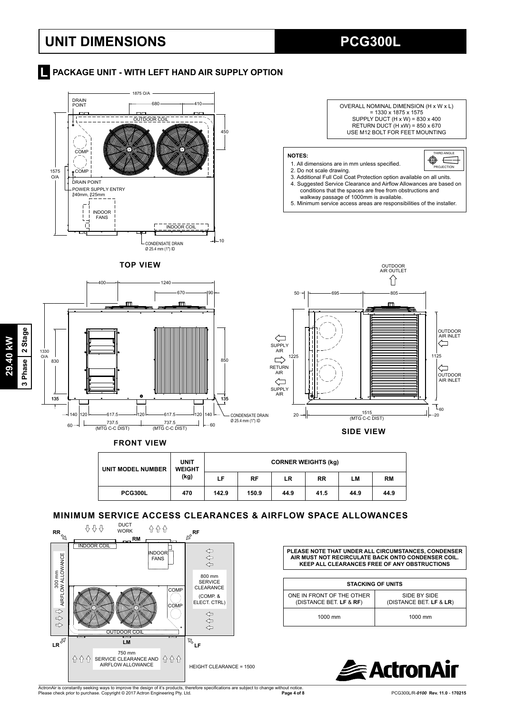## **UNIT DIMENSIONS PCG300L**

**Report AT A PACKAGE UNIT - WITH LEFT HAND AIR SUPPLY OPTION** 



**FRONT VIEW**

| UNIT MODEL NUMBER | <b>UNIT</b><br><b>WEIGHT</b><br>(kg) |       | <b>CORNER WEIGHTS (kg)</b> |      |           |      |      |  |  |  |
|-------------------|--------------------------------------|-------|----------------------------|------|-----------|------|------|--|--|--|
|                   |                                      | LF    | RF                         | LR   | <b>RR</b> | LM   | RM   |  |  |  |
| <b>PCG300L</b>    | 470                                  | 142.9 | 150.9                      | 44.9 | 41.5      | 44.9 | 44.9 |  |  |  |

### **MINIMUM SERVICE ACCESS CLEARANCES & AIRFLOW SPACE ALLOWANCES**



**PLEASE NOTE THAT UNDER ALL CIRCUMSTANCES, CONDENSER AIR MUST NOT RECIRCULATE BACK ONTO CONDENSER COIL. KEEP ALL CLEARANCES FREE OF ANY OBSTRUCTIONS**

| <b>STACKING OF UNITS</b>                             |                                         |  |  |  |  |  |  |  |
|------------------------------------------------------|-----------------------------------------|--|--|--|--|--|--|--|
| ONE IN FRONT OF THE OTHER<br>(DISTANCE BET. LF & RF) | SIDE BY SIDE<br>(DISTANCE BET. LF & LR) |  |  |  |  |  |  |  |
| 1000 mm                                              | $1000$ mm                               |  |  |  |  |  |  |  |



ActronAir is constantly seeking ways to improve the design of it's products, therefore specifications are subject to change without notice.<br>Please check prior to purchase. Copyright © 2017 Actron Engineering Pty. Ltd.

**Page 4 of 8** PCG300L/R-*0100* **Rev. 11.0** - **170215**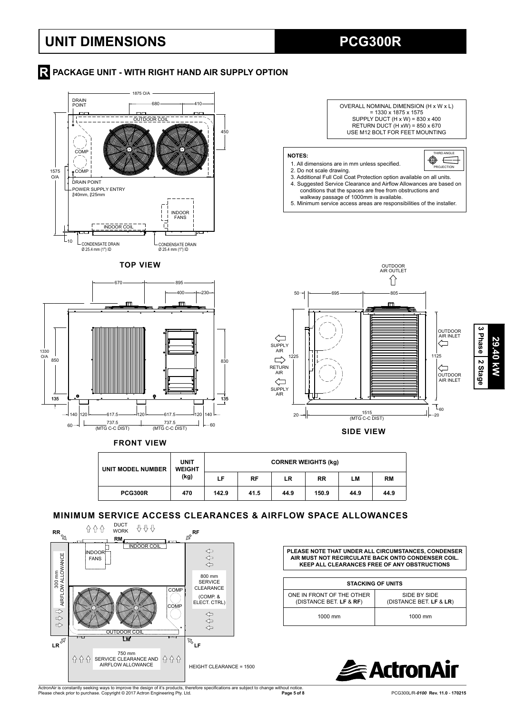## **UNIT DIMENSIONS PCG300R**

1330  $\frac{1331}{0}$ 

135

850

### **R** PACKAGE UNIT - WITH RIGHT HAND AIR SUPPLY OPTION



SUPPLY AIR

 $\Rightarrow$ 

1225

RETURN AIR SUPPLY AIR

 $\Leftrightarrow$ 



#### **MINIMUM SERVICE ACCESS CLEARANCES & AIRFLOW SPACE ALLOWANCES**

135

830



140 120 <del>- 6</del>17.5 - 120 <del>- 617.5 120 120 1</del>120 140 <sup>60</sup> <sup>60</sup> 737.5 737.5 (MTG C-C DIST)

**FRONT VIEW**

 $\frac{737.5}{(MTG C-C DIST)}$ 

**PLEASE NOTE THAT UNDER ALL CIRCUMSTANCES, CONDENSER AIR MUST NOT RECIRCULATE BACK ONTO CONDENSER COIL. KEEP ALL CLEARANCES FREE OF ANY OBSTRUCTIONS**

20 20 1515 (MTG C-C DIST)

**SIDE VIEW**

| <b>STACKING OF UNITS</b>                             |                                         |  |  |  |  |  |  |  |
|------------------------------------------------------|-----------------------------------------|--|--|--|--|--|--|--|
| ONE IN FRONT OF THE OTHER<br>(DISTANCE BET. LF & RF) | SIDE BY SIDE<br>(DISTANCE BET. LF & LR) |  |  |  |  |  |  |  |
| 1000 mm                                              | 1000 mm                                 |  |  |  |  |  |  |  |



ActronAir is constantly seeking ways to improve the design of it's products, therefore specifications are subject to change without notice.<br>Please check prior to purchase. Copyright © 2017 Actron Engineering Pty. Ltd.

1125

 $\mathcal{L}_{60}$ 

OUTDOOR AIR INLET

 $\Leftrightarrow$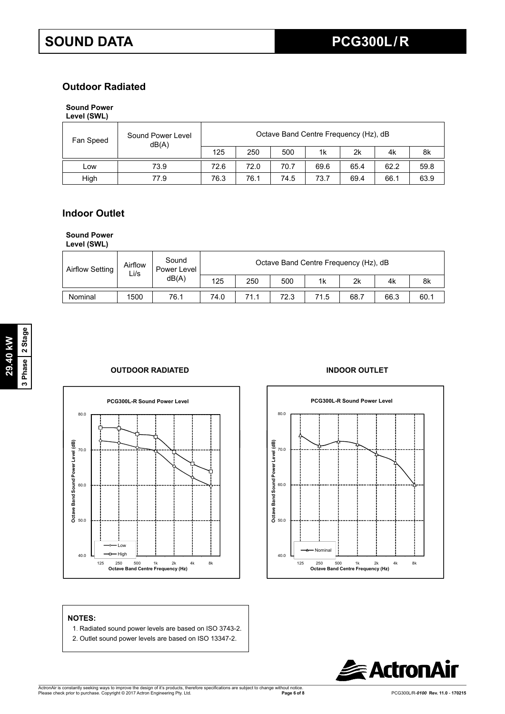## **Outdoor Radiated**

## **Sound Power**

| Level (SWL) |  |
|-------------|--|
|-------------|--|

| Fan Speed | Sound Power Level<br>dB(A) | Octave Band Centre Frequency (Hz), dB |      |      |      |      |      |      |  |  |
|-----------|----------------------------|---------------------------------------|------|------|------|------|------|------|--|--|
|           |                            | 125                                   | 250  | 500  | 1k   | 2k   | 4k   | 8k   |  |  |
| ∟ow       | 73.9                       | 72.6                                  | 72.0 | 70.7 | 69.6 | 65.4 | 62.2 | 59.8 |  |  |
| High      | 77.9                       | 76.3                                  | 76.1 | 74.5 | 73.7 | 69.4 | 66.1 | 63.9 |  |  |

### **Indoor Outlet**

### **Sound Power**

**Level (SWL)**

| Airflow Setting | Airflow<br>Li/s | Sound<br>Power Level<br>dB(A) |      | Octave Band Centre Frequency (Hz), dB |      |                |      |      |      |  |  |  |  |
|-----------------|-----------------|-------------------------------|------|---------------------------------------|------|----------------|------|------|------|--|--|--|--|
|                 |                 |                               | 125  | 250                                   | 500  | 1 <sub>k</sub> | 2k   | 4k   | 8k   |  |  |  |  |
| Nominal         | 1500            | 76.1                          | 74.0 | 71.1                                  | 72.3 | 71.5           | 68.7 | 66.3 | 60.1 |  |  |  |  |

### **OUTDOOR RADIATED INDOOR OUTLET**





### **NOTES:**

- 1. Radiated sound power levels are based on ISO 3743-2.
- 2. Outlet sound power levels are based on ISO 13347-2.

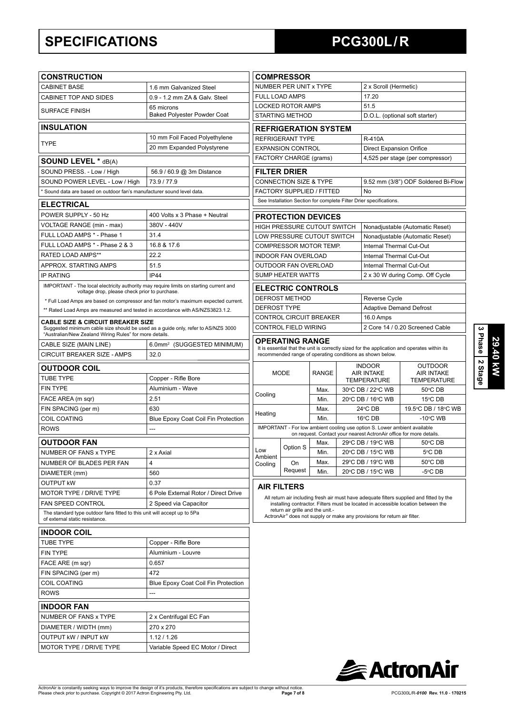## **SPECIFICATIONS PCG300L / R**

| <b>CONSTRUCTION</b>                                                                                                                                                                          |                                         |                                                | <b>COMPRESSOR</b>                                           |              |  |                                                                                      |                                                                                              |  |
|----------------------------------------------------------------------------------------------------------------------------------------------------------------------------------------------|-----------------------------------------|------------------------------------------------|-------------------------------------------------------------|--------------|--|--------------------------------------------------------------------------------------|----------------------------------------------------------------------------------------------|--|
| <b>CABINET BASE</b>                                                                                                                                                                          | 1.6 mm Galvanized Steel                 |                                                | NUMBER PER UNIT x TYPE                                      |              |  | 2 x Scroll (Hermetic)                                                                |                                                                                              |  |
| <b>CABINET TOP AND SIDES</b>                                                                                                                                                                 | 0.9 - 1.2 mm ZA & Galv. Steel           |                                                | <b>FULL LOAD AMPS</b>                                       |              |  | 17.20                                                                                |                                                                                              |  |
|                                                                                                                                                                                              | 65 microns                              |                                                | <b>LOCKED ROTOR AMPS</b>                                    |              |  | 51.5                                                                                 |                                                                                              |  |
| <b>SURFACE FINISH</b>                                                                                                                                                                        | <b>Baked Polyester Powder Coat</b>      |                                                | <b>STARTING METHOD</b>                                      |              |  |                                                                                      | D.O.L. (optional soft starter)                                                               |  |
| <b>INSULATION</b>                                                                                                                                                                            |                                         |                                                | <b>REFRIGERATION SYSTEM</b>                                 |              |  |                                                                                      |                                                                                              |  |
|                                                                                                                                                                                              | 10 mm Foil Faced Polyethylene           |                                                | <b>REFRIGERANT TYPE</b>                                     |              |  | R-410A                                                                               |                                                                                              |  |
| <b>TYPE</b>                                                                                                                                                                                  | 20 mm Expanded Polystyrene              |                                                | <b>EXPANSION CONTROL</b>                                    |              |  | <b>Direct Expansion Orifice</b>                                                      |                                                                                              |  |
| <b>SOUND LEVEL * dB(A)</b>                                                                                                                                                                   |                                         |                                                | FACTORY CHARGE (grams)                                      |              |  |                                                                                      | 4,525 per stage (per compressor)                                                             |  |
| SOUND PRESS. - Low / High                                                                                                                                                                    | 56.9 / 60.9 @ 3m Distance               |                                                | <b>FILTER DRIER</b>                                         |              |  |                                                                                      |                                                                                              |  |
| SOUND POWER LEVEL - Low / High                                                                                                                                                               | 73.9 / 77.9                             |                                                | <b>CONNECTION SIZE &amp; TYPE</b>                           |              |  |                                                                                      | 9.52 mm (3/8") ODF Soldered Bi-Flow                                                          |  |
| Sound data are based on outdoor fan's manufacturer sound level data.                                                                                                                         |                                         |                                                | <b>FACTORY SUPPLIED / FITTED</b>                            |              |  | No                                                                                   |                                                                                              |  |
| <b>ELECTRICAL</b>                                                                                                                                                                            |                                         |                                                |                                                             |              |  | See Installation Section for complete Filter Drier specifications.                   |                                                                                              |  |
| POWER SUPPLY - 50 Hz                                                                                                                                                                         | 400 Volts x 3 Phase + Neutral           |                                                |                                                             |              |  |                                                                                      |                                                                                              |  |
| VOLTAGE RANGE (min - max)                                                                                                                                                                    | 380V - 440V                             |                                                | <b>PROTECTION DEVICES</b>                                   |              |  |                                                                                      |                                                                                              |  |
| FULL LOAD AMPS * - Phase 1                                                                                                                                                                   | 31.4                                    |                                                | HIGH PRESSURE CUTOUT SWITCH                                 |              |  |                                                                                      | Nonadjustable (Automatic Reset)                                                              |  |
| FULL LOAD AMPS * - Phase 2 & 3                                                                                                                                                               | 16.8 & 17.6                             |                                                | LOW PRESSURE CUTOUT SWITCH<br><b>COMPRESSOR MOTOR TEMP.</b> |              |  | Internal Thermal Cut-Out                                                             | Nonadjustable (Automatic Reset)                                                              |  |
| <b>RATED LOAD AMPS**</b>                                                                                                                                                                     | 22.2                                    |                                                | <b>INDOOR FAN OVERLOAD</b>                                  |              |  | Internal Thermal Cut-Out                                                             |                                                                                              |  |
| APPROX. STARTING AMPS                                                                                                                                                                        | 51.5                                    |                                                | OUTDOOR FAN OVERLOAD                                        |              |  | Internal Thermal Cut-Out                                                             |                                                                                              |  |
| <b>IP RATING</b>                                                                                                                                                                             | <b>IP44</b>                             |                                                | <b>SUMP HEATER WATTS</b>                                    |              |  |                                                                                      | 2 x 30 W during Comp. Off Cycle                                                              |  |
| IMPORTANT - The local electricity authority may require limits on starting current and                                                                                                       |                                         | <b>ELECTRIC CONTROLS</b>                       |                                                             |              |  |                                                                                      |                                                                                              |  |
| voltage drop, please check prior to purchase.                                                                                                                                                |                                         |                                                |                                                             |              |  |                                                                                      |                                                                                              |  |
| * Full Load Amps are based on compressor and fan motor's maximum expected current.                                                                                                           |                                         |                                                | <b>DEFROST METHOD</b>                                       |              |  | Reverse Cycle                                                                        |                                                                                              |  |
| ** Rated Load Amps are measured and tested in accordance with AS/NZS3823.1.2.                                                                                                                |                                         | <b>DEFROST TYPE</b><br>CONTROL CIRCUIT BREAKER |                                                             |              |  | <b>Adaptive Demand Defrost</b><br>16.0 Amps                                          |                                                                                              |  |
| <b>CABLE SIZE &amp; CIRCUIT BREAKER SIZE</b><br>Suggested minimum cable size should be used as a guide only, refer to AS/NZS 3000<br>"Australian/New Zealand Wiring Rules" for more details. |                                         |                                                | <b>CONTROL FIELD WIRING</b>                                 |              |  |                                                                                      | 2 Core 14 / 0.20 Screened Cable                                                              |  |
| CABLE SIZE (MAIN LINE)                                                                                                                                                                       | 6.0mm <sup>2</sup> (SUGGESTED MINIMUM)  |                                                | <b>OPERATING RANGE</b>                                      |              |  |                                                                                      |                                                                                              |  |
| CIRCUIT BREAKER SIZE - AMPS                                                                                                                                                                  | 32.0                                    |                                                |                                                             |              |  | recommended range of operating conditions as shown below.                            | It is essential that the unit is correctly sized for the application and operates within its |  |
| <b>OUTDOOR COIL</b>                                                                                                                                                                          |                                         |                                                |                                                             |              |  | <b>INDOOR</b>                                                                        | <b>OUTDOOR</b>                                                                               |  |
|                                                                                                                                                                                              |                                         |                                                | <b>MODE</b>                                                 | <b>RANGE</b> |  | <b>AIR INTAKE</b>                                                                    | <b>AIR INTAKE</b>                                                                            |  |
| TUBE TYPE<br><b>FIN TYPE</b>                                                                                                                                                                 | Copper - Rifle Bore<br>Aluminium - Wave |                                                |                                                             |              |  | <b>TEMPERATURE</b><br><b>TEMPERATURE</b>                                             |                                                                                              |  |
| FACE AREA (m sqr)                                                                                                                                                                            | 2.51                                    | Cooling                                        |                                                             | Max.         |  | 30°C DB / 22°C WB<br>20°C DB / 16°C WB                                               | 50°C DB                                                                                      |  |
| FIN SPACING (per m)                                                                                                                                                                          | 630                                     |                                                |                                                             | Min.<br>Max. |  | 24°C DB                                                                              | $15^{\circ}$ CDB<br>19.5°C DB / 18°C WB                                                      |  |
| <b>COIL COATING</b>                                                                                                                                                                          | Blue Epoxy Coat Coil Fin Protection     | Heating                                        |                                                             | Min.         |  | 16°C DB                                                                              | $-10^{\circ}$ C WB                                                                           |  |
| ROWS                                                                                                                                                                                         | ---                                     |                                                |                                                             |              |  | IMPORTANT - For low ambient cooling use option S. Lower ambient available            |                                                                                              |  |
|                                                                                                                                                                                              |                                         |                                                |                                                             |              |  |                                                                                      | on request. Contact your nearest ActronAir office for more details.                          |  |
| <b>OUTDOOR FAN</b>                                                                                                                                                                           |                                         | Low                                            | Option S                                                    | Max.         |  | 29°C DB / 19°C WB                                                                    | $50^{\circ}$ C DB                                                                            |  |
| NUMBER OF FANS x TYPE                                                                                                                                                                        | 2 x Axial                               | Ambient                                        |                                                             | Min.         |  | 20°C DB / 15°C WB                                                                    | 5°C DB                                                                                       |  |
| NUMBER OF BLADES PER FAN                                                                                                                                                                     | 4                                       | Coolina                                        | On<br>Request                                               | Max.<br>Min. |  | 29°C DB / 19°C WB<br>20°C DB / 15°C WB                                               | 50°C DB<br>$-5^{\circ}$ CDB                                                                  |  |
| DIAMETER (mm)                                                                                                                                                                                | 560                                     |                                                |                                                             |              |  |                                                                                      |                                                                                              |  |
| <b>OUTPUT KW</b>                                                                                                                                                                             | 0.37                                    |                                                | <b>AIR FILTERS</b>                                          |              |  |                                                                                      |                                                                                              |  |
| MOTOR TYPE / DRIVE TYPE                                                                                                                                                                      | 6 Pole External Rotor / Direct Drive    |                                                |                                                             |              |  |                                                                                      | All return air including fresh air must have adequate filters supplied and fitted by the     |  |
| FAN SPEED CONTROL<br>The standard type outdoor fans fitted to this unit will accept up to 5Pa                                                                                                | 2 Speed via Capacitor                   |                                                | return air grille and the unit.-                            |              |  |                                                                                      | installing contractor. Filters must be located in accessible location between the            |  |
| of external static resistance.                                                                                                                                                               |                                         |                                                |                                                             |              |  | ActronAir <sup>®</sup> does not supply or make any provisions for return air filter. |                                                                                              |  |
| <b>INDOOR COIL</b>                                                                                                                                                                           |                                         |                                                |                                                             |              |  |                                                                                      |                                                                                              |  |
| <b>TUBE TYPE</b>                                                                                                                                                                             | Copper - Rifle Bore                     |                                                |                                                             |              |  |                                                                                      |                                                                                              |  |
| <b>FIN TYPE</b>                                                                                                                                                                              | Aluminium - Louvre                      |                                                |                                                             |              |  |                                                                                      |                                                                                              |  |
| FACE ARE (m sqr)                                                                                                                                                                             | 0.657                                   |                                                |                                                             |              |  |                                                                                      |                                                                                              |  |
| FIN SPACING (per m)                                                                                                                                                                          | 472                                     |                                                |                                                             |              |  |                                                                                      |                                                                                              |  |
| COIL COATING                                                                                                                                                                                 | Blue Epoxy Coat Coil Fin Protection     |                                                |                                                             |              |  |                                                                                      |                                                                                              |  |
| <b>ROWS</b>                                                                                                                                                                                  | ---                                     |                                                |                                                             |              |  |                                                                                      |                                                                                              |  |
| <b>INDOOR FAN</b>                                                                                                                                                                            |                                         |                                                |                                                             |              |  |                                                                                      |                                                                                              |  |
| NUMBER OF FANS x TYPE                                                                                                                                                                        | 2 x Centrifugal EC Fan                  |                                                |                                                             |              |  |                                                                                      |                                                                                              |  |
| DIAMETER / WIDTH (mm)                                                                                                                                                                        | 270 x 270                               |                                                |                                                             |              |  |                                                                                      |                                                                                              |  |
| OUTPUT kW / INPUT kW                                                                                                                                                                         | 1.12 / 1.26                             |                                                |                                                             |              |  |                                                                                      |                                                                                              |  |
| MOTOR TYPE / DRIVE TYPE                                                                                                                                                                      | Variable Speed EC Motor / Direct        |                                                |                                                             |              |  |                                                                                      |                                                                                              |  |



**3 Phase**